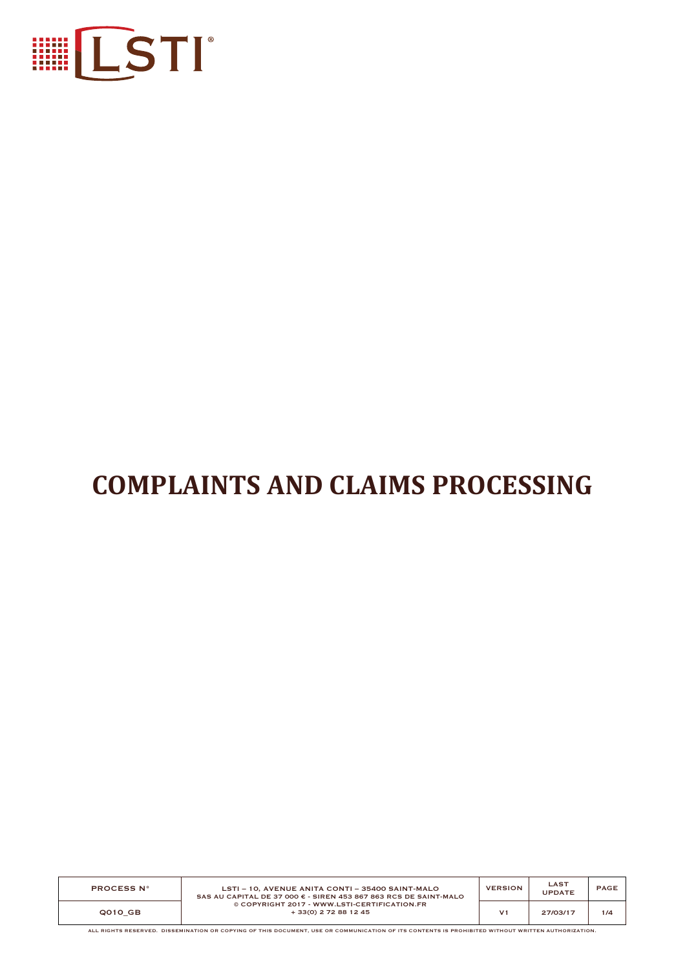

# **COMPLAINTS AND CLAIMS PROCESSING**

| <b>PROCESS N°</b> | LSTI - 10. AVENUE ANITA CONTI - 35400 SAINT-MALO<br>SAS AU CAPITAL DE 37 000 $\epsilon$ - SIREN 453 867 863 RCS DE SAINT-MALO<br>© COPYRIGHT 2017 - WWW.LSTI-CERTIFICATION.FR<br>+ 33(0) 2 72 88 12 45 | <b>VERSION</b> | <b>LAST</b><br><b>UPDATE</b> | PAGE |
|-------------------|--------------------------------------------------------------------------------------------------------------------------------------------------------------------------------------------------------|----------------|------------------------------|------|
| Q010 GB           |                                                                                                                                                                                                        | V1             | 27/03/17                     | 1/4  |

ALL RIGHTS RESERVED. DISSEMINATION OR COPYING OF THIS DOCUMENT, USE OR COMMUNICATION OF ITS CONTENTS IS PROHIBITED WITHOUT WRITTEN AUTHORIZATION.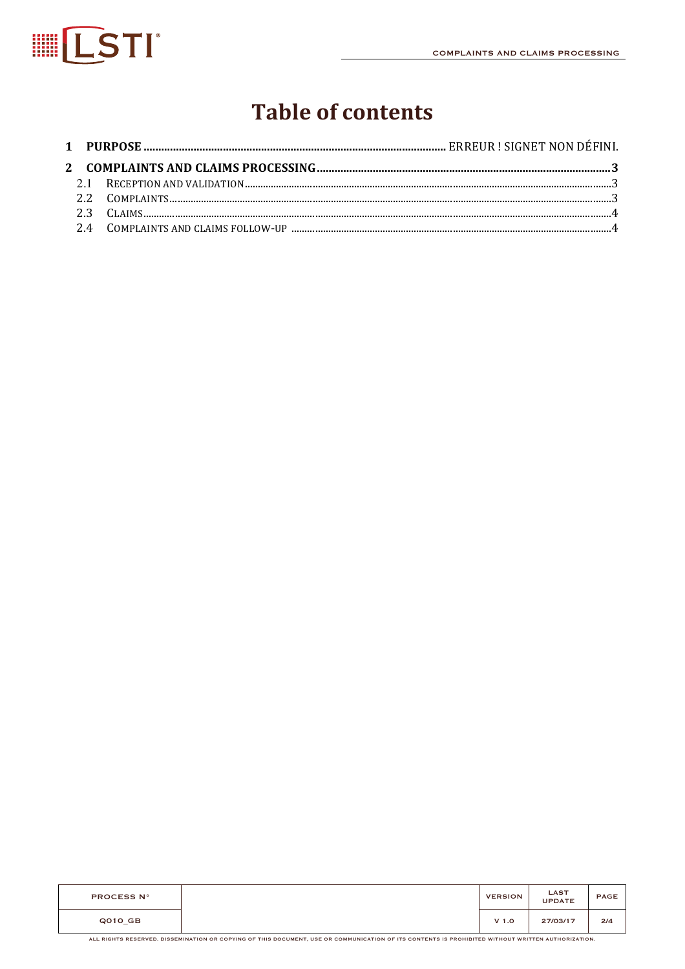

# **Table of contents**

| <b>PROCESS N°</b> | <b>VERSION</b>   | <b>LAST</b><br><b>UPDATE</b> | <b>PAGE</b> |
|-------------------|------------------|------------------------------|-------------|
| $QO1O_G$ B        | V <sub>1.0</sub> | 27/03/17                     | 2/4         |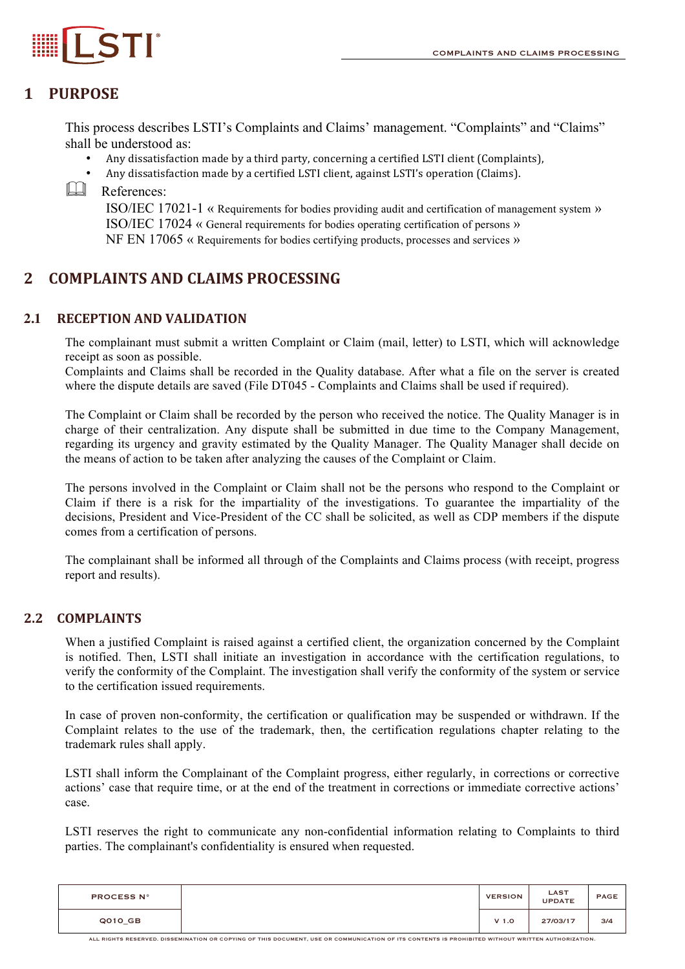# **1 PURPOSE**

This process describes LSTI's Complaints and Claims' management. "Complaints" and "Claims" shall be understood as:

- Any dissatisfaction made by a third party, concerning a certified LSTI client (Complaints),
- Any dissatisfaction made by a certified LSTI client, against LSTI's operation (Claims).

**ELI** References:

ISO/IEC 17021-1 « Requirements for bodies providing audit and certification of management system » ISO/IEC 17024 « General requirements for bodies operating certification of persons » NF EN 17065 « Requirements for bodies certifying products, processes and services »

# **2 COMPLAINTS AND CLAIMS PROCESSING**

#### **2.1 RECEPTION AND VALIDATION**

The complainant must submit a written Complaint or Claim (mail, letter) to LSTI, which will acknowledge receipt as soon as possible.

Complaints and Claims shall be recorded in the Quality database. After what a file on the server is created where the dispute details are saved (File DT045 - Complaints and Claims shall be used if required).

The Complaint or Claim shall be recorded by the person who received the notice. The Quality Manager is in charge of their centralization. Any dispute shall be submitted in due time to the Company Management, regarding its urgency and gravity estimated by the Quality Manager. The Quality Manager shall decide on the means of action to be taken after analyzing the causes of the Complaint or Claim.

The persons involved in the Complaint or Claim shall not be the persons who respond to the Complaint or Claim if there is a risk for the impartiality of the investigations. To guarantee the impartiality of the decisions, President and Vice-President of the CC shall be solicited, as well as CDP members if the dispute comes from a certification of persons.

The complainant shall be informed all through of the Complaints and Claims process (with receipt, progress report and results).

## **2.2 COMPLAINTS**

When a justified Complaint is raised against a certified client, the organization concerned by the Complaint is notified. Then, LSTI shall initiate an investigation in accordance with the certification regulations, to verify the conformity of the Complaint. The investigation shall verify the conformity of the system or service to the certification issued requirements.

In case of proven non-conformity, the certification or qualification may be suspended or withdrawn. If the Complaint relates to the use of the trademark, then, the certification regulations chapter relating to the trademark rules shall apply.

LSTI shall inform the Complainant of the Complaint progress, either regularly, in corrections or corrective actions' case that require time, or at the end of the treatment in corrections or immediate corrective actions' case.

LSTI reserves the right to communicate any non-confidential information relating to Complaints to third parties. The complainant's confidentiality is ensured when requested.

| <b>PROCESS N°</b> | <b>VERSION</b>   | <b>LAST</b><br><b>UPDATE</b> | <b>PAGE</b> |
|-------------------|------------------|------------------------------|-------------|
| Q010_GB           | V <sub>1.0</sub> | 27/03/17                     | 3/4         |

ALL RIGHTS RESERVED. DISSEMINATION OR COPYING OF THIS DOCUMENT, USE OR COMMUNICATION OF ITS CONTENTS IS PROHIBITED WITHOUT WRITTEN AUTHORIZATION.